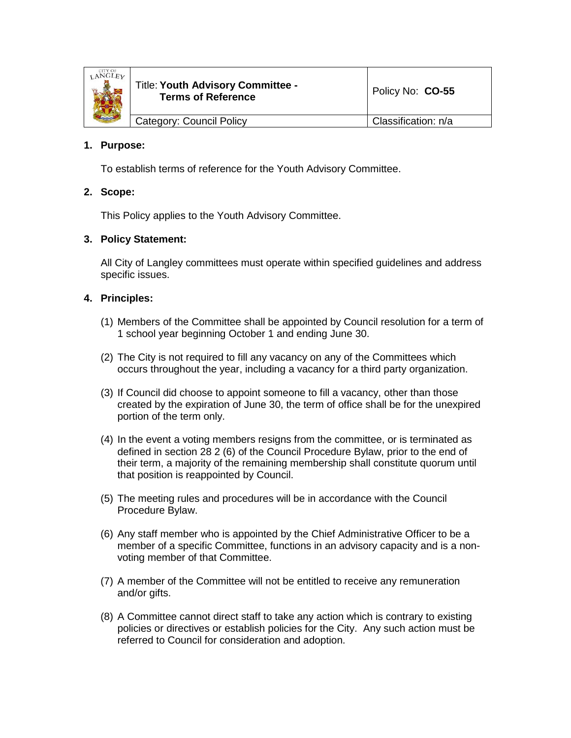

| Category: Council Policy | Classification: n/a |
|--------------------------|---------------------|

# **1. Purpose:**

To establish terms of reference for the Youth Advisory Committee.

# **2. Scope:**

This Policy applies to the Youth Advisory Committee.

### **3. Policy Statement:**

All City of Langley committees must operate within specified guidelines and address specific issues.

# **4. Principles:**

- (1) Members of the Committee shall be appointed by Council resolution for a term of 1 school year beginning October 1 and ending June 30.
- (2) The City is not required to fill any vacancy on any of the Committees which occurs throughout the year, including a vacancy for a third party organization.
- (3) If Council did choose to appoint someone to fill a vacancy, other than those created by the expiration of June 30, the term of office shall be for the unexpired portion of the term only.
- (4) In the event a voting members resigns from the committee, or is terminated as defined in section 28 2 (6) of the Council Procedure Bylaw, prior to the end of their term, a majority of the remaining membership shall constitute quorum until that position is reappointed by Council.
- (5) The meeting rules and procedures will be in accordance with the Council Procedure Bylaw.
- (6) Any staff member who is appointed by the Chief Administrative Officer to be a member of a specific Committee, functions in an advisory capacity and is a nonvoting member of that Committee.
- (7) A member of the Committee will not be entitled to receive any remuneration and/or gifts.
- (8) A Committee cannot direct staff to take any action which is contrary to existing policies or directives or establish policies for the City. Any such action must be referred to Council for consideration and adoption.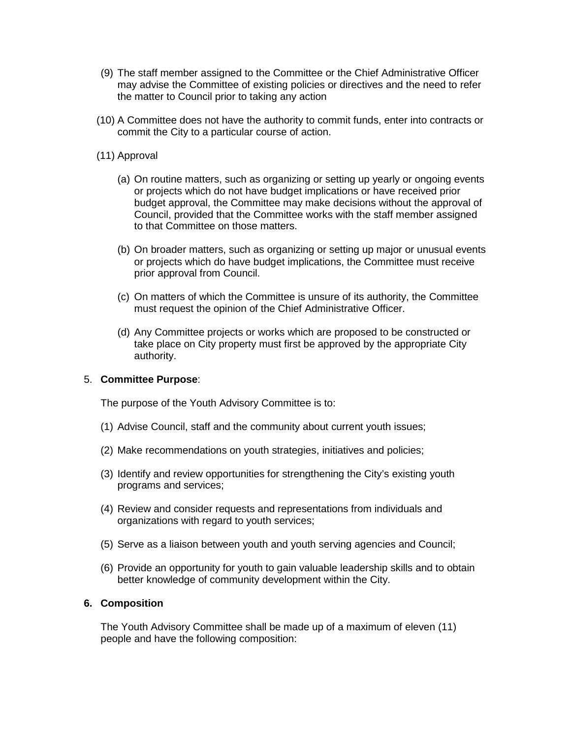- (9) The staff member assigned to the Committee or the Chief Administrative Officer may advise the Committee of existing policies or directives and the need to refer the matter to Council prior to taking any action
- (10) A Committee does not have the authority to commit funds, enter into contracts or commit the City to a particular course of action.
- (11) Approval
	- (a) On routine matters, such as organizing or setting up yearly or ongoing events or projects which do not have budget implications or have received prior budget approval, the Committee may make decisions without the approval of Council, provided that the Committee works with the staff member assigned to that Committee on those matters.
	- (b) On broader matters, such as organizing or setting up major or unusual events or projects which do have budget implications, the Committee must receive prior approval from Council.
	- (c) On matters of which the Committee is unsure of its authority, the Committee must request the opinion of the Chief Administrative Officer.
	- (d) Any Committee projects or works which are proposed to be constructed or take place on City property must first be approved by the appropriate City authority.

#### 5. **Committee Purpose**:

The purpose of the Youth Advisory Committee is to:

- (1) Advise Council, staff and the community about current youth issues;
- (2) Make recommendations on youth strategies, initiatives and policies;
- (3) Identify and review opportunities for strengthening the City's existing youth programs and services;
- (4) Review and consider requests and representations from individuals and organizations with regard to youth services;
- (5) Serve as a liaison between youth and youth serving agencies and Council;
- (6) Provide an opportunity for youth to gain valuable leadership skills and to obtain better knowledge of community development within the City.

#### **6. Composition**

The Youth Advisory Committee shall be made up of a maximum of eleven (11) people and have the following composition: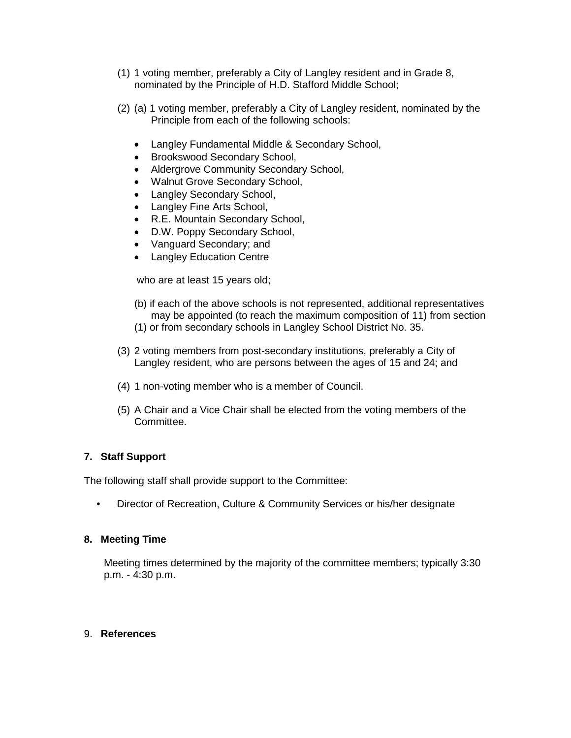- (1) 1 voting member, preferably a City of Langley resident and in Grade 8, nominated by the Principle of H.D. Stafford Middle School;
- (2) (a) 1 voting member, preferably a City of Langley resident, nominated by the Principle from each of the following schools:
	- Langley Fundamental Middle & Secondary School,
	- Brookswood Secondary School,
	- Aldergrove Community Secondary School,
	- Walnut Grove Secondary School,
	- Langley Secondary School,
	- Langley Fine Arts School,
	- R.E. Mountain Secondary School,
	- D.W. Poppy Secondary School,
	- Vanguard Secondary; and
	- Langley Education Centre

who are at least 15 years old;

- (b) if each of the above schools is not represented, additional representatives may be appointed (to reach the maximum composition of 11) from section
- (1) or from secondary schools in Langley School District No. 35.
- (3) 2 voting members from post-secondary institutions, preferably a City of Langley resident, who are persons between the ages of 15 and 24; and
- (4) 1 non-voting member who is a member of Council.
- (5) A Chair and a Vice Chair shall be elected from the voting members of the Committee.

### **7. Staff Support**

The following staff shall provide support to the Committee:

• Director of Recreation, Culture & Community Services or his/her designate

### **8. Meeting Time**

Meeting times determined by the majority of the committee members; typically 3:30 p.m. - 4:30 p.m.

#### 9. **References**